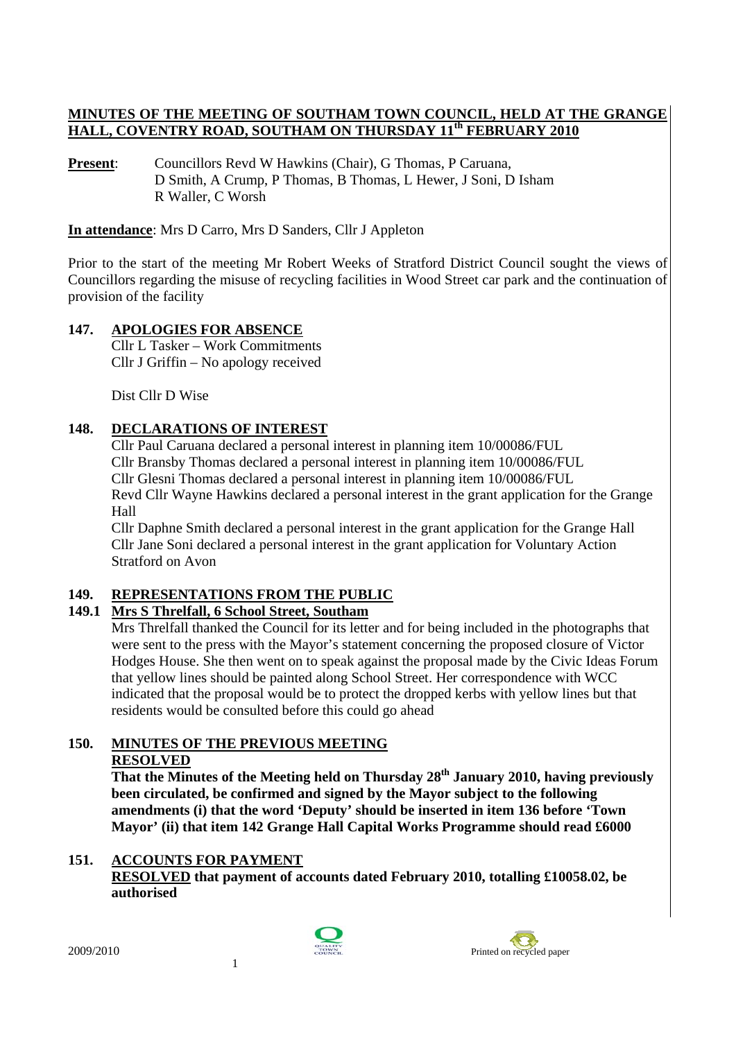#### **MINUTES OF THE MEETING OF SOUTHAM TOWN COUNCIL, HELD AT THE GRANGE HALL, COVENTRY ROAD, SOUTHAM ON THURSDAY 11th FEBRUARY 2010**

**Present:** Councillors Revd W Hawkins (Chair), G Thomas, P Caruana, D Smith, A Crump, P Thomas, B Thomas, L Hewer, J Soni, D Isham R Waller, C Worsh

**In attendance**: Mrs D Carro, Mrs D Sanders, Cllr J Appleton

Prior to the start of the meeting Mr Robert Weeks of Stratford District Council sought the views of Councillors regarding the misuse of recycling facilities in Wood Street car park and the continuation of provision of the facility

# **147. APOLOGIES FOR ABSENCE**

Cllr L Tasker – Work Commitments Cllr J Griffin – No apology received

Dist Cllr D Wise

### **148. DECLARATIONS OF INTEREST**

Cllr Paul Caruana declared a personal interest in planning item 10/00086/FUL Cllr Bransby Thomas declared a personal interest in planning item 10/00086/FUL Cllr Glesni Thomas declared a personal interest in planning item 10/00086/FUL Revd Cllr Wayne Hawkins declared a personal interest in the grant application for the Grange Hall

Cllr Daphne Smith declared a personal interest in the grant application for the Grange Hall Cllr Jane Soni declared a personal interest in the grant application for Voluntary Action Stratford on Avon

### **149. REPRESENTATIONS FROM THE PUBLIC**

# **149.1 Mrs S Threlfall, 6 School Street, Southam**

Mrs Threlfall thanked the Council for its letter and for being included in the photographs that were sent to the press with the Mayor's statement concerning the proposed closure of Victor Hodges House. She then went on to speak against the proposal made by the Civic Ideas Forum that yellow lines should be painted along School Street. Her correspondence with WCC indicated that the proposal would be to protect the dropped kerbs with yellow lines but that residents would be consulted before this could go ahead

# **150. MINUTES OF THE PREVIOUS MEETING RESOLVED**

 **That the Minutes of the Meeting held on Thursday 28th January 2010, having previously been circulated, be confirmed and signed by the Mayor subject to the following amendments (i) that the word 'Deputy' should be inserted in item 136 before 'Town Mayor' (ii) that item 142 Grange Hall Capital Works Programme should read £6000** 

### **151. ACCOUNTS FOR PAYMENT**

**RESOLVED that payment of accounts dated February 2010, totalling £10058.02, be authorised** 



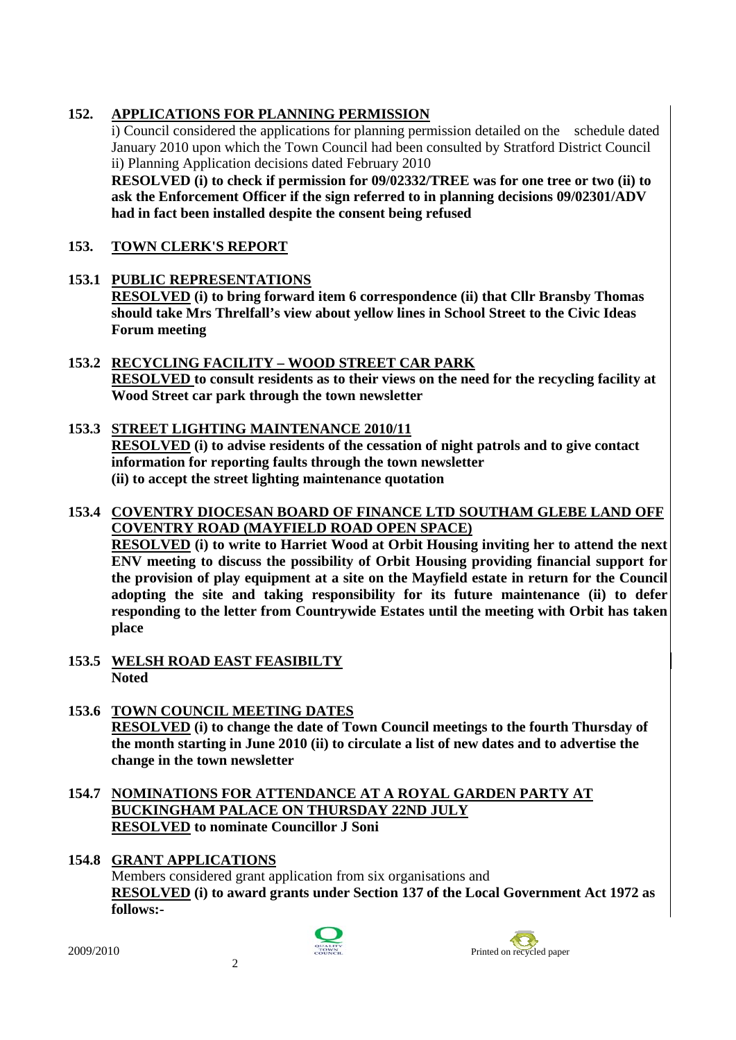# **152. APPLICATIONS FOR PLANNING PERMISSION**

i) Council considered the applications for planning permission detailed on the schedule dated January 2010 upon which the Town Council had been consulted by Stratford District Council ii) Planning Application decisions dated February 2010

**RESOLVED (i) to check if permission for 09/02332/TREE was for one tree or two (ii) to ask the Enforcement Officer if the sign referred to in planning decisions 09/02301/ADV had in fact been installed despite the consent being refused** 

### **153. TOWN CLERK'S REPORT**

# **153.1 PUBLIC REPRESENTATIONS RESOLVED (i) to bring forward item 6 correspondence (ii) that Cllr Bransby Thomas should take Mrs Threlfall's view about yellow lines in School Street to the Civic Ideas Forum meeting**

### **153.2 RECYCLING FACILITY – WOOD STREET CAR PARK RESOLVED to consult residents as to their views on the need for the recycling facility at Wood Street car park through the town newsletter**

### **153.3 STREET LIGHTING MAINTENANCE 2010/11 RESOLVED (i) to advise residents of the cessation of night patrols and to give contact information for reporting faults through the town newsletter (ii) to accept the street lighting maintenance quotation**

### **153.4 COVENTRY DIOCESAN BOARD OF FINANCE LTD SOUTHAM GLEBE LAND OFF COVENTRY ROAD (MAYFIELD ROAD OPEN SPACE)**

**RESOLVED (i) to write to Harriet Wood at Orbit Housing inviting her to attend the next ENV meeting to discuss the possibility of Orbit Housing providing financial support for the provision of play equipment at a site on the Mayfield estate in return for the Council adopting the site and taking responsibility for its future maintenance (ii) to defer responding to the letter from Countrywide Estates until the meeting with Orbit has taken place** 

- **153.5 WELSH ROAD EAST FEASIBILTY Noted**
- **153.6 TOWN COUNCIL MEETING DATES RESOLVED (i) to change the date of Town Council meetings to the fourth Thursday of the month starting in June 2010 (ii) to circulate a list of new dates and to advertise the change in the town newsletter**
- **154.7 NOMINATIONS FOR ATTENDANCE AT A ROYAL GARDEN PARTY AT BUCKINGHAM PALACE ON THURSDAY 22ND JULY RESOLVED to nominate Councillor J Soni**
- **154.8 GRANT APPLICATIONS** Members considered grant application from six organisations and **RESOLVED (i) to award grants under Section 137 of the Local Government Act 1972 as follows:-**



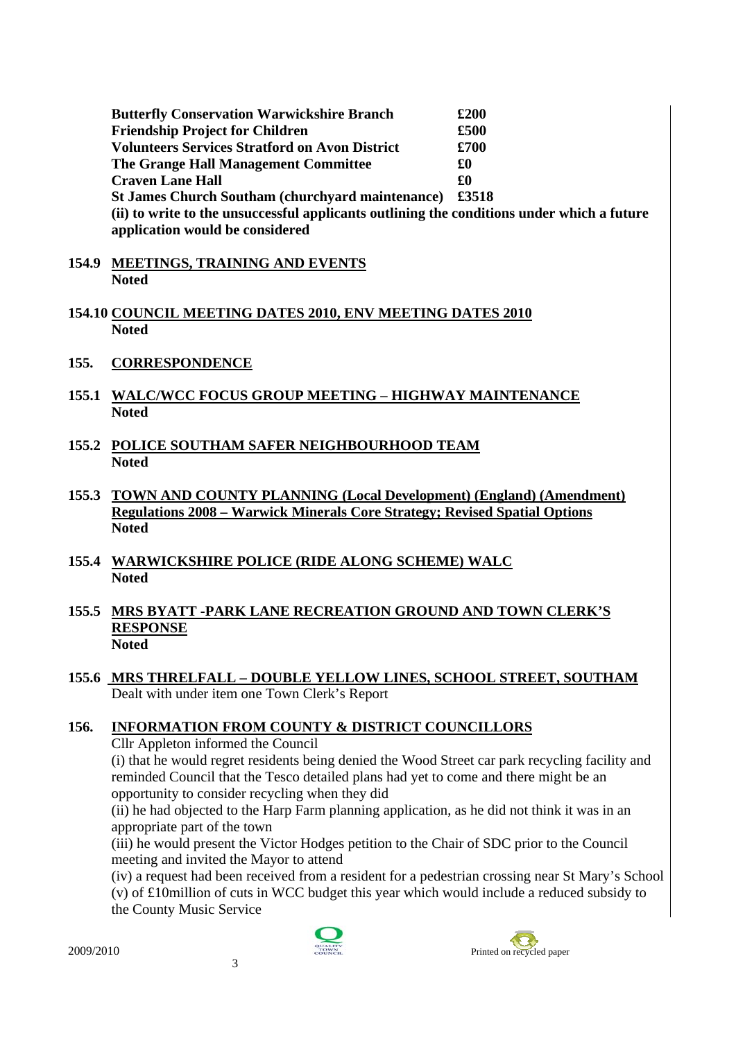| <b>Butterfly Conservation Warwickshire Branch</b>                                          | £200  |
|--------------------------------------------------------------------------------------------|-------|
| <b>Friendship Project for Children</b>                                                     | £500  |
| <b>Volunteers Services Stratford on Avon District</b>                                      | £700  |
| The Grange Hall Management Committee                                                       | £0    |
| <b>Craven Lane Hall</b>                                                                    | £O    |
| <b>St James Church Southam (churchyard maintenance)</b>                                    | £3518 |
| (ii) to write to the unsuccessful applicants outlining the conditions under which a future |       |
| application would be considered                                                            |       |

- **154.9 MEETINGS, TRAINING AND EVENTS Noted**
- **154.10 COUNCIL MEETING DATES 2010, ENV MEETING DATES 2010 Noted**
- **155. CORRESPONDENCE**
- **155.1 WALC/WCC FOCUS GROUP MEETING HIGHWAY MAINTENANCE Noted**
- **155.2 POLICE SOUTHAM SAFER NEIGHBOURHOOD TEAM Noted**
- **155.3 TOWN AND COUNTY PLANNING (Local Development) (England) (Amendment) Regulations 2008 – Warwick Minerals Core Strategy; Revised Spatial Options Noted**
- **155.4 WARWICKSHIRE POLICE (RIDE ALONG SCHEME) WALC Noted**
- **155.5 MRS BYATT -PARK LANE RECREATION GROUND AND TOWN CLERK'S RESPONSE Noted**
- **155.6 MRS THRELFALL DOUBLE YELLOW LINES, SCHOOL STREET, SOUTHAM** Dealt with under item one Town Clerk's Report

#### **156. INFORMATION FROM COUNTY & DISTRICT COUNCILLORS**

Cllr Appleton informed the Council

(i) that he would regret residents being denied the Wood Street car park recycling facility and reminded Council that the Tesco detailed plans had yet to come and there might be an opportunity to consider recycling when they did

(ii) he had objected to the Harp Farm planning application, as he did not think it was in an appropriate part of the town

(iii) he would present the Victor Hodges petition to the Chair of SDC prior to the Council meeting and invited the Mayor to attend

(iv) a request had been received from a resident for a pedestrian crossing near St Mary's School

(v) of £10million of cuts in WCC budget this year which would include a reduced subsidy to the County Music Service



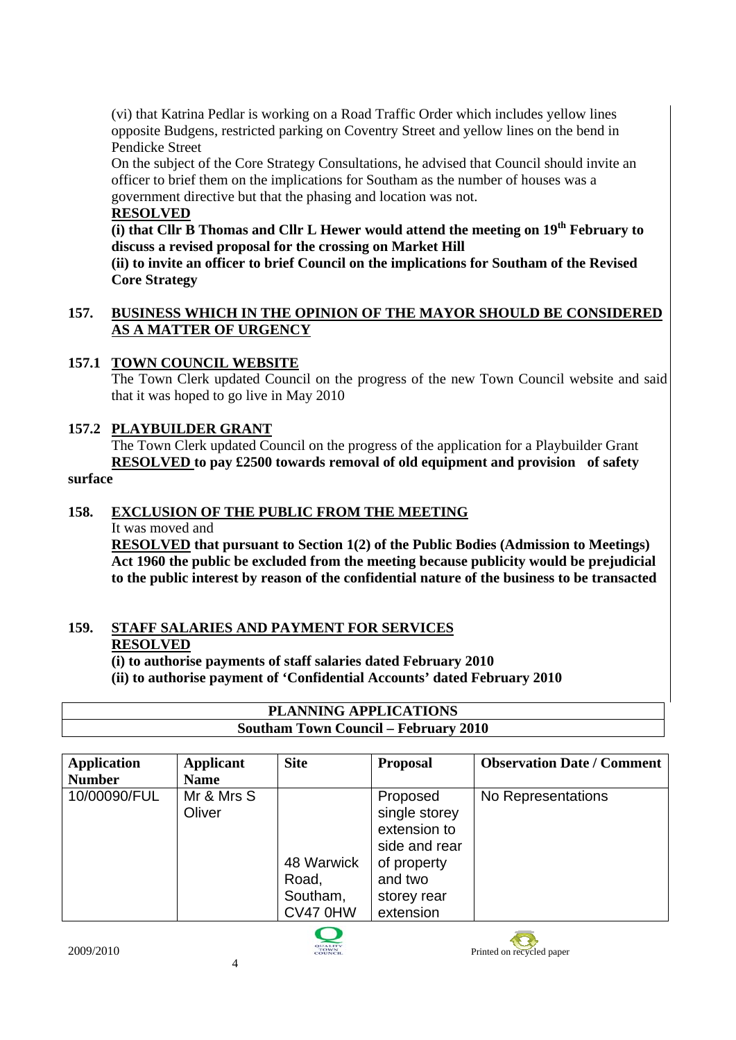(vi) that Katrina Pedlar is working on a Road Traffic Order which includes yellow lines opposite Budgens, restricted parking on Coventry Street and yellow lines on the bend in Pendicke Street

On the subject of the Core Strategy Consultations, he advised that Council should invite an officer to brief them on the implications for Southam as the number of houses was a government directive but that the phasing and location was not.

#### **RESOLVED**

**(i) that Cllr B Thomas and Cllr L Hewer would attend the meeting on 19th February to discuss a revised proposal for the crossing on Market Hill** 

**(ii) to invite an officer to brief Council on the implications for Southam of the Revised Core Strategy** 

#### **157. BUSINESS WHICH IN THE OPINION OF THE MAYOR SHOULD BE CONSIDERED AS A MATTER OF URGENCY**

### **157.1 TOWN COUNCIL WEBSITE**

The Town Clerk updated Council on the progress of the new Town Council website and said that it was hoped to go live in May 2010

#### **157.2 PLAYBUILDER GRANT**

The Town Clerk updated Council on the progress of the application for a Playbuilder Grant **RESOLVED to pay £2500 towards removal of old equipment and provision of safety** 

### **surface**

#### **158. EXCLUSION OF THE PUBLIC FROM THE MEETING**

It was moved and

**RESOLVED that pursuant to Section 1(2) of the Public Bodies (Admission to Meetings) Act 1960 the public be excluded from the meeting because publicity would be prejudicial to the public interest by reason of the confidential nature of the business to be transacted** 

#### **159. STAFF SALARIES AND PAYMENT FOR SERVICES RESOLVED**

**(i) to authorise payments of staff salaries dated February 2010 (ii) to authorise payment of 'Confidential Accounts' dated February 2010** 

| <b>PLANNING APPLICATIONS</b>                |                  |                  |                                          |                           |  |
|---------------------------------------------|------------------|------------------|------------------------------------------|---------------------------|--|
| <b>Southam Town Council – February 2010</b> |                  |                  |                                          |                           |  |
|                                             |                  |                  |                                          |                           |  |
| $\mathbf{A}$ nultoottan                     | $k = 1:2 \ldots$ | C:4 <sub>0</sub> | <b>D</b> <sub>na</sub> n <sub>a</sub> al | Okaanvatian Data (Cammant |  |

| <b>Application</b> | Applicant            | <b>Site</b>                                 | <b>Proposal</b>                                                                                                  | <b>Observation Date / Comment</b> |
|--------------------|----------------------|---------------------------------------------|------------------------------------------------------------------------------------------------------------------|-----------------------------------|
| <b>Number</b>      | <b>Name</b>          |                                             |                                                                                                                  |                                   |
| 10/00090/FUL       | Mr & Mrs S<br>Oliver | 48 Warwick<br>Road,<br>Southam,<br>CV47 0HW | Proposed<br>single storey<br>extension to<br>side and rear<br>of property<br>and two<br>storey rear<br>extension | No Representations                |